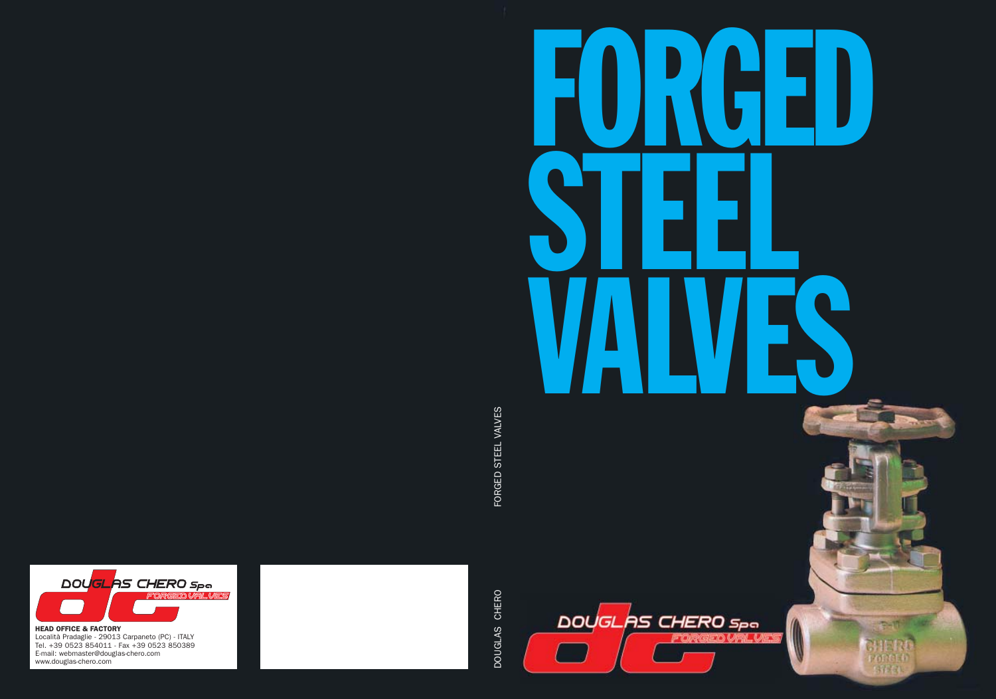